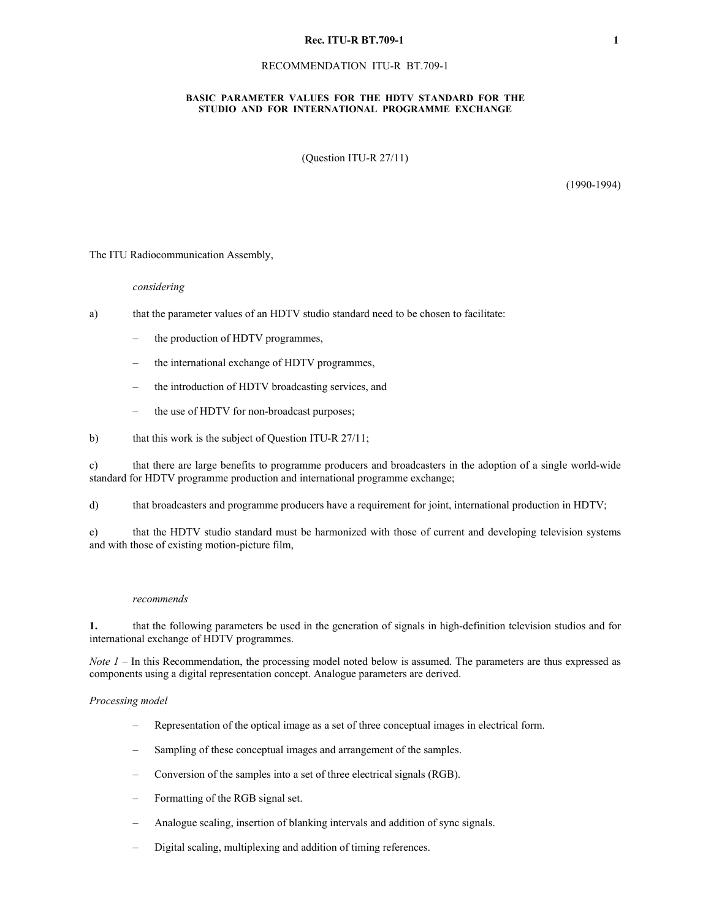#### **Rec. ITU-R BT.709-1 1**

## RECOMMENDATION ITU-R BT.709-1

## **BASIC PARAMETER VALUES FOR THE HDTV STANDARD FOR THE STUDIO AND FOR INTERNATIONAL PROGRAMME EXCHANGE**

(Question ITU-R 27/11)

(1990-1994)

The ITU Radiocommunication Assembly,

## *considering*

- a) that the parameter values of an HDTV studio standard need to be chosen to facilitate:
	- the production of HDTV programmes,
	- the international exchange of HDTV programmes,
	- the introduction of HDTV broadcasting services, and
	- the use of HDTV for non-broadcast purposes;
- b) that this work is the subject of Question ITU-R 27/11;

c) that there are large benefits to programme producers and broadcasters in the adoption of a single world-wide standard for HDTV programme production and international programme exchange;

d) that broadcasters and programme producers have a requirement for joint, international production in HDTV;

e) that the HDTV studio standard must be harmonized with those of current and developing television systems and with those of existing motion-picture film,

## *recommends*

**1.** that the following parameters be used in the generation of signals in high-definition television studios and for international exchange of HDTV programmes.

*Note*  $I$  – In this Recommendation, the processing model noted below is assumed. The parameters are thus expressed as components using a digital representation concept. Analogue parameters are derived.

#### *Processing model*

- Representation of the optical image as a set of three conceptual images in electrical form.
- Sampling of these conceptual images and arrangement of the samples.
- Conversion of the samples into a set of three electrical signals (RGB).
- Formatting of the RGB signal set.
- Analogue scaling, insertion of blanking intervals and addition of sync signals.
- Digital scaling, multiplexing and addition of timing references.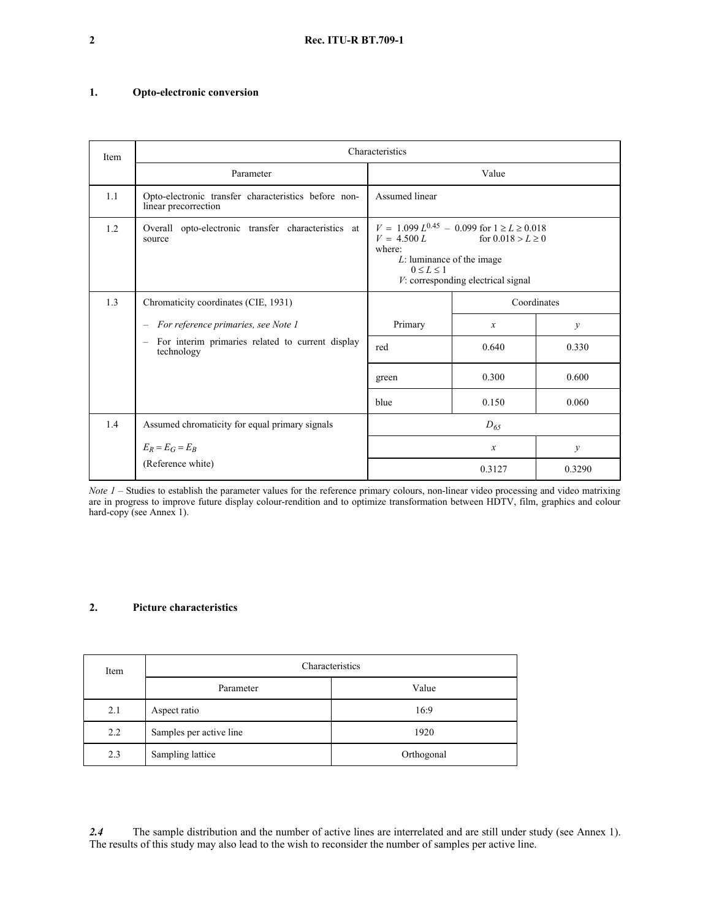# **1. Opto-electronic conversion**

| Item | Characteristics                                                                            |                                                                                                                                                                                                |               |               |  |  |  |
|------|--------------------------------------------------------------------------------------------|------------------------------------------------------------------------------------------------------------------------------------------------------------------------------------------------|---------------|---------------|--|--|--|
|      | Parameter                                                                                  |                                                                                                                                                                                                | Value         |               |  |  |  |
| 1.1  | Opto-electronic transfer characteristics before non-<br>linear precorrection               | Assumed linear                                                                                                                                                                                 |               |               |  |  |  |
| 1.2  | Overall opto-electronic transfer characteristics at<br>source                              | $V = 1.099 L^{0.45} - 0.099$ for $1 \ge L \ge 0.018$<br>$V = 4.500 L$ for $0.018 > L \ge 0$<br>where:<br>L: luminance of the image<br>$0 \le L \le 1$<br>$V$ : corresponding electrical signal |               |               |  |  |  |
| 1.3  | Chromaticity coordinates (CIE, 1931)                                                       |                                                                                                                                                                                                | Coordinates   |               |  |  |  |
|      | - For reference primaries, see Note 1                                                      | Primary                                                                                                                                                                                        | $\mathcal{X}$ | $\mathcal{V}$ |  |  |  |
|      | For interim primaries related to current display<br>$\overline{\phantom{m}}$<br>technology | red                                                                                                                                                                                            | 0.640         | 0.330         |  |  |  |
|      |                                                                                            | green                                                                                                                                                                                          | 0.300         | 0.600         |  |  |  |
|      |                                                                                            | blue                                                                                                                                                                                           | 0.150         | 0.060         |  |  |  |
| 1.4  | Assumed chromaticity for equal primary signals                                             |                                                                                                                                                                                                | $D_{65}$      |               |  |  |  |
|      | $E_R = E_G = E_B$                                                                          |                                                                                                                                                                                                | $\mathcal{X}$ | $\mathcal{V}$ |  |  |  |
|      | (Reference white)                                                                          |                                                                                                                                                                                                | 0.3127        | 0.3290        |  |  |  |

*Note 1* – Studies to establish the parameter values for the reference primary colours, non-linear video processing and video matrixing are in progress to improve future display colour-rendition and to optimize transformation between HDTV, film, graphics and colour hard-copy (see Annex 1).

## **2. Picture characteristics**

| Item | Characteristics         |            |  |
|------|-------------------------|------------|--|
|      | Parameter               | Value      |  |
| 2.1  | Aspect ratio            | 16:9       |  |
| 2.2  | Samples per active line | 1920       |  |
| 2.3  | Sampling lattice        | Orthogonal |  |

*2.4* The sample distribution and the number of active lines are interrelated and are still under study (see Annex 1). The results of this study may also lead to the wish to reconsider the number of samples per active line.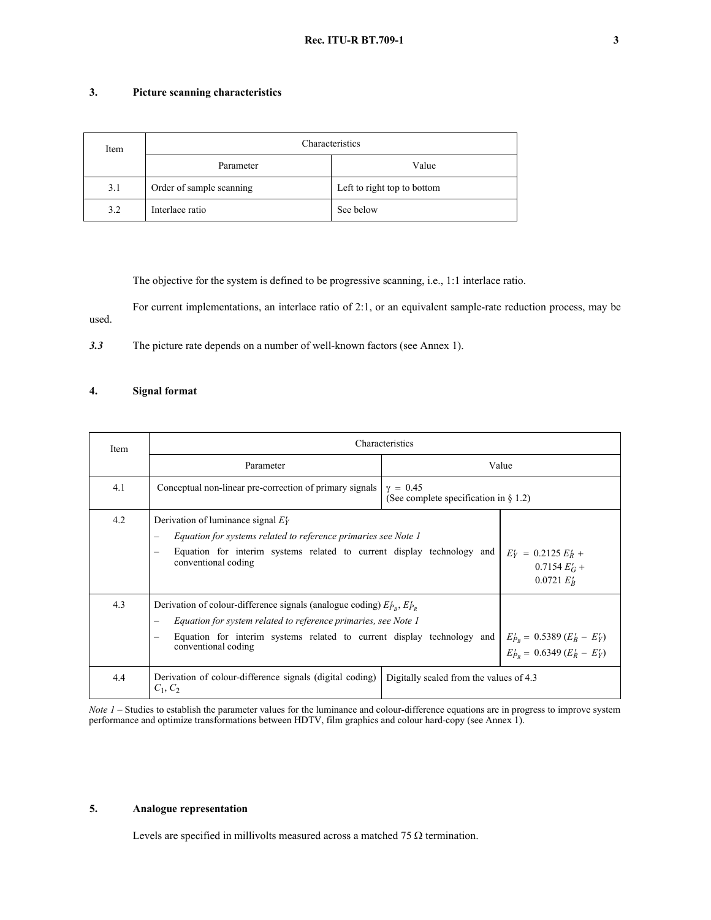# **3. Picture scanning characteristics**

| Item | Characteristics          |                             |  |  |
|------|--------------------------|-----------------------------|--|--|
|      | Parameter                | Value                       |  |  |
| 3.1  | Order of sample scanning | Left to right top to bottom |  |  |
| 3.2  | Interlace ratio          | See below                   |  |  |

The objective for the system is defined to be progressive scanning, i.e., 1:1 interlace ratio.

For current implementations, an interlace ratio of 2:1, or an equivalent sample-rate reduction process, may be used.

*3.3* The picture rate depends on a number of well-known factors (see Annex 1).

# **4. Signal format**

| Item | Characteristics                                                                                                                                                                                                                                                                                 |                                                                        |       |  |  |
|------|-------------------------------------------------------------------------------------------------------------------------------------------------------------------------------------------------------------------------------------------------------------------------------------------------|------------------------------------------------------------------------|-------|--|--|
|      | Parameter                                                                                                                                                                                                                                                                                       |                                                                        | Value |  |  |
| 4.1  | Conceptual non-linear pre-correction of primary signals                                                                                                                                                                                                                                         | $v = 0.45$<br>(See complete specification in $\S$ 1.2)                 |       |  |  |
| 4.2  | Derivation of luminance signal $E_Y$<br>Equation for systems related to reference primaries see Note 1<br>$\overline{\phantom{0}}$<br>Equation for interim systems related to current display technology and<br>$E'_Y = 0.2125 E'_R +$<br>conventional coding<br>$0.7154 EG +$<br>$0.0721 E_R'$ |                                                                        |       |  |  |
| 4.3  | Derivation of colour-difference signals (analogue coding) $E_{P_R}$ , $E_{P_R}$<br>Equation for system related to reference primaries, see Note 1<br>Equation for interim systems related to current display technology and<br>$\overline{\phantom{0}}$<br>conventional coding                  | $E'_{P_B} = 0.5389 (E'_B - E'_Y)$<br>$E'_{P_B} = 0.6349 (E'_R - E'_Y)$ |       |  |  |
| 4.4  | Derivation of colour-difference signals (digital coding)<br>$C_1, C_2$                                                                                                                                                                                                                          | Digitally scaled from the values of 4.3                                |       |  |  |

*Note 1* – Studies to establish the parameter values for the luminance and colour-difference equations are in progress to improve system performance and optimize transformations between HDTV, film graphics and colour hard-copy (see Annex 1).

# **5. Analogue representation**

Levels are specified in millivolts measured across a matched 75  $\Omega$  termination.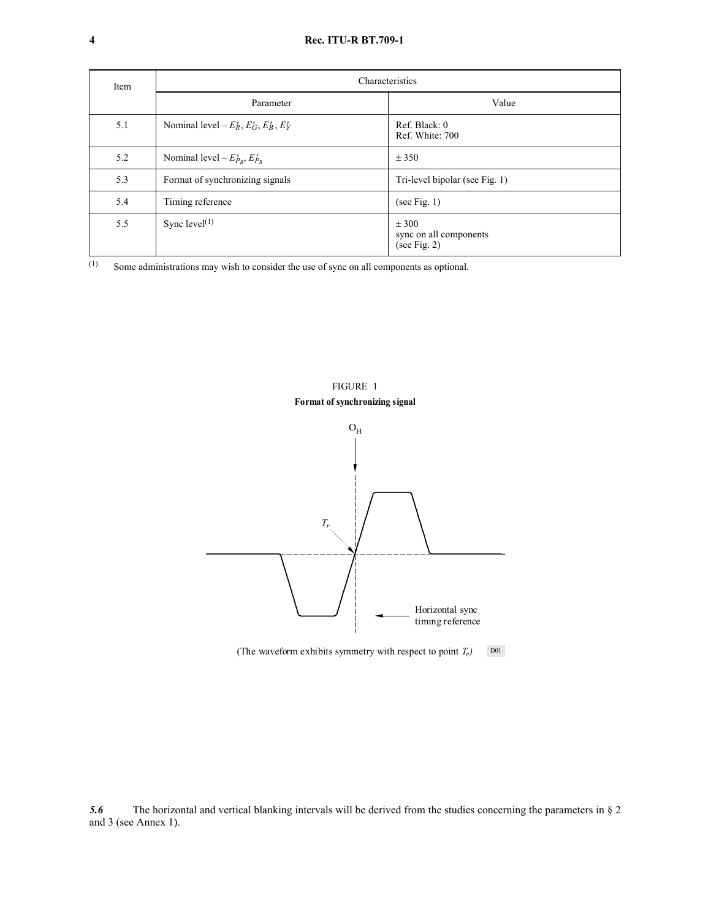| Item | Characteristics                                   |                                                    |  |  |  |
|------|---------------------------------------------------|----------------------------------------------------|--|--|--|
|      | Parameter                                         | Value                                              |  |  |  |
| 5.1  | Nominal level – $E'_R$ , $E'_G$ , $E'_B$ , $E'_Y$ | Ref. Black: 0<br>Ref. White: 700                   |  |  |  |
| 5.2  | Nominal level – $E'_{P_R}, E'_{P_R}$              | ± 350                                              |  |  |  |
| 5.3  | Format of synchronizing signals                   | Tri-level bipolar (see Fig. 1)                     |  |  |  |
| 5.4  | Timing reference                                  | (see Fig. 1)                                       |  |  |  |
| 5.5  | Sync level $(1)$                                  | ± 300<br>sync on all components<br>(see Fig. $2$ ) |  |  |  |

(1) Some administrations may wish to consider the use of sync on all components as optional.



(The waveform exhibits symmetry with respect to point  $T_r$ ) D01

*5.6* The horizontal and vertical blanking intervals will be derived from the studies concerning the parameters in § 2 and 3 (see Annex 1).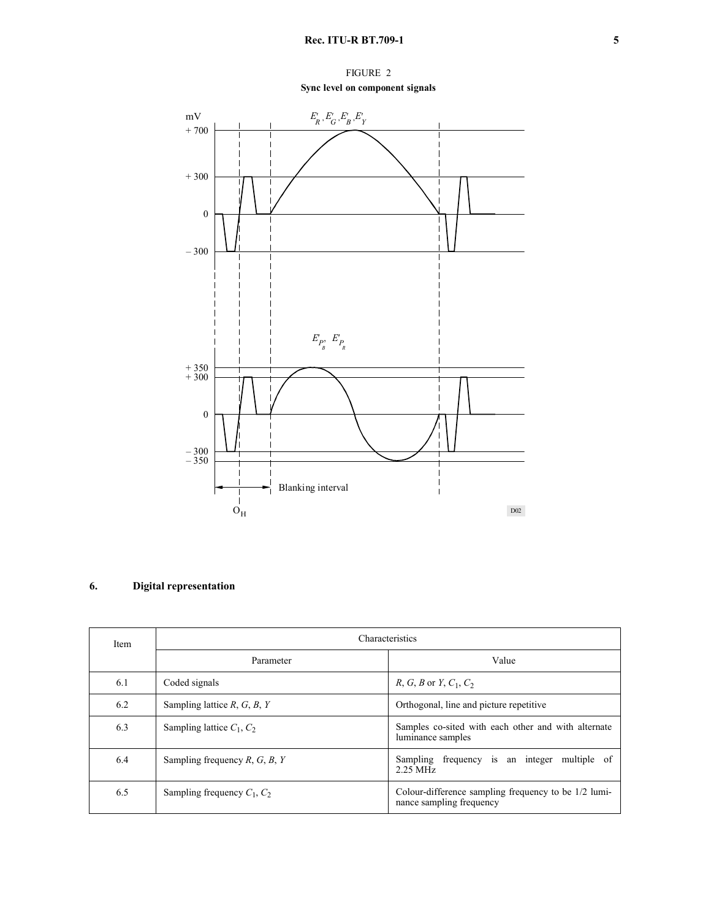FIGURE 2 **Sync level on component signals**



# **6. Digital representation**

| Item | <b>Characteristics</b>           |                                                                                  |  |  |
|------|----------------------------------|----------------------------------------------------------------------------------|--|--|
|      | Parameter                        | Value                                                                            |  |  |
| 6.1  | Coded signals                    | <i>R</i> , <i>G</i> , <i>B</i> or <i>Y</i> , $C_1$ , $C_2$                       |  |  |
| 6.2  | Sampling lattice $R, G, B, Y$    | Orthogonal, line and picture repetitive                                          |  |  |
| 6.3  | Sampling lattice $C_1$ , $C_2$   | Samples co-sited with each other and with alternate<br>luminance samples         |  |  |
| 6.4  | Sampling frequency $R, G, B, Y$  | frequency is an integer multiple of<br>Sampling<br>$2.25$ MHz                    |  |  |
| 6.5  | Sampling frequency $C_1$ , $C_2$ | Colour-difference sampling frequency to be 1/2 lumi-<br>nance sampling frequency |  |  |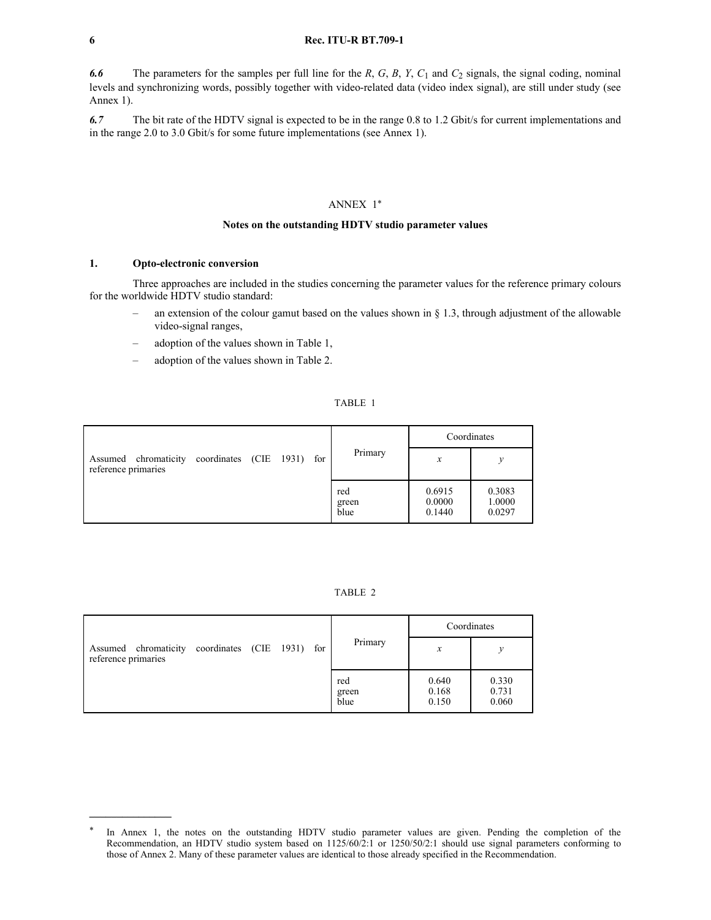#### **6 Rec. ITU-R BT.709-1**

*6.6* The parameters for the samples per full line for the *R*, *G*, *B*, *Y*, *C*<sup>1</sup> and *C*<sup>2</sup> signals, the signal coding, nominal levels and synchronizing words, possibly together with video-related data (video index signal), are still under study (see Annex 1).

*6.7* The bit rate of the HDTV signal is expected to be in the range 0.8 to 1.2 Gbit/s for current implementations and in the range 2.0 to 3.0 Gbit/s for some future implementations (see Annex 1).

# ANNEX 1\*

## **Notes on the outstanding HDTV studio parameter values**

## **1. Opto-electronic conversion**

Three approaches are included in the studies concerning the parameter values for the reference primary colours for the worldwide HDTV studio standard:

- an extension of the colour gamut based on the values shown in  $\S$  1.3, through adjustment of the allowable video-signal ranges,
- adoption of the values shown in Table 1,
- adoption of the values shown in Table 2.

## TABLE 1

|                                             |                        |  |     |                      | Coordinates                |                            |
|---------------------------------------------|------------------------|--|-----|----------------------|----------------------------|----------------------------|
| Assumed chromaticity<br>reference primaries | coordinates (CIE 1931) |  | for | Primary              | $\boldsymbol{x}$           | ν                          |
|                                             |                        |  |     | red<br>green<br>blue | 0.6915<br>0.0000<br>0.1440 | 0.3083<br>1.0000<br>0.0297 |

### TABLE 2

|                                                                        |  |  |                      |                         | Coordinates             |
|------------------------------------------------------------------------|--|--|----------------------|-------------------------|-------------------------|
| Assumed chromaticity coordinates (CIE 1931) for<br>reference primaries |  |  | Primary              | x                       | у                       |
|                                                                        |  |  | red<br>green<br>blue | 0.640<br>0.168<br>0.150 | 0.330<br>0.731<br>0.060 |

In Annex 1, the notes on the outstanding HDTV studio parameter values are given. Pending the completion of the Recommendation, an HDTV studio system based on 1125/60/2:1 or 1250/50/2:1 should use signal parameters conforming to those of Annex 2. Many of these parameter values are identical to those already specified in the Recommendation.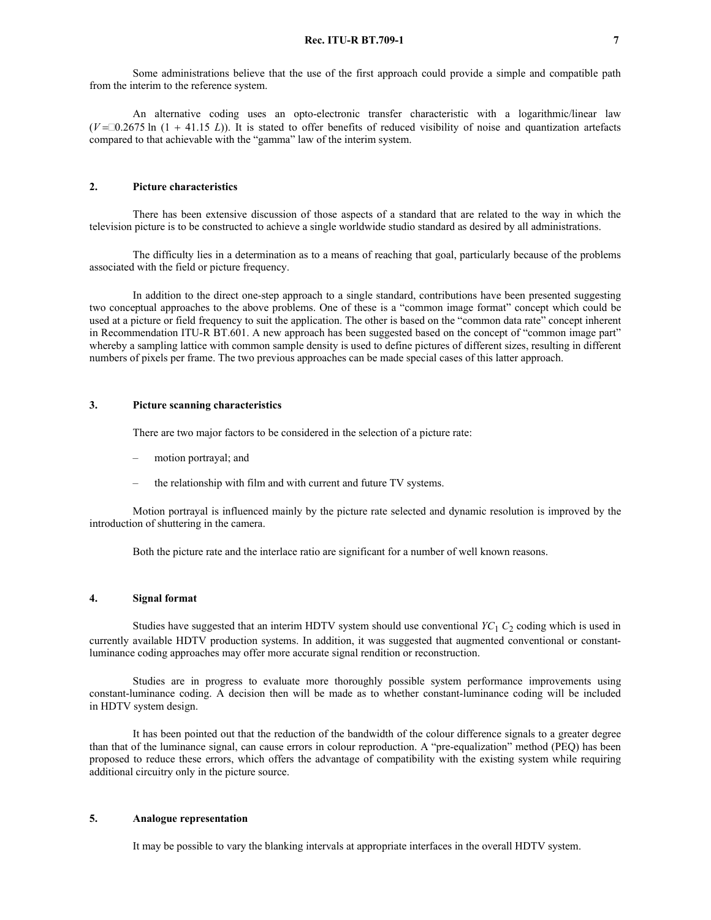An alternative coding uses an opto-electronic transfer characteristic with a logarithmic/linear law  $(V = 0.2675 \text{ ln } (1 + 41.15 \text{ L}))$ . It is stated to offer benefits of reduced visibility of noise and quantization artefacts compared to that achievable with the "gamma" law of the interim system.

## **2. Picture characteristics**

There has been extensive discussion of those aspects of a standard that are related to the way in which the television picture is to be constructed to achieve a single worldwide studio standard as desired by all administrations.

The difficulty lies in a determination as to a means of reaching that goal, particularly because of the problems associated with the field or picture frequency.

In addition to the direct one-step approach to a single standard, contributions have been presented suggesting two conceptual approaches to the above problems. One of these is a "common image format" concept which could be used at a picture or field frequency to suit the application. The other is based on the "common data rate" concept inherent in Recommendation ITU-R BT.601. A new approach has been suggested based on the concept of "common image part" whereby a sampling lattice with common sample density is used to define pictures of different sizes, resulting in different numbers of pixels per frame. The two previous approaches can be made special cases of this latter approach.

## **3. Picture scanning characteristics**

There are two major factors to be considered in the selection of a picture rate:

- motion portrayal; and
- the relationship with film and with current and future TV systems.

Motion portrayal is influenced mainly by the picture rate selected and dynamic resolution is improved by the introduction of shuttering in the camera.

Both the picture rate and the interlace ratio are significant for a number of well known reasons.

### **4. Signal format**

Studies have suggested that an interim HDTV system should use conventional *YC*<sup>1</sup> *C*<sup>2</sup> coding which is used in currently available HDTV production systems. In addition, it was suggested that augmented conventional or constantluminance coding approaches may offer more accurate signal rendition or reconstruction.

Studies are in progress to evaluate more thoroughly possible system performance improvements using constant-luminance coding. A decision then will be made as to whether constant-luminance coding will be included in HDTV system design.

It has been pointed out that the reduction of the bandwidth of the colour difference signals to a greater degree than that of the luminance signal, can cause errors in colour reproduction. A "pre-equalization" method (PEQ) has been proposed to reduce these errors, which offers the advantage of compatibility with the existing system while requiring additional circuitry only in the picture source.

## **5. Analogue representation**

It may be possible to vary the blanking intervals at appropriate interfaces in the overall HDTV system.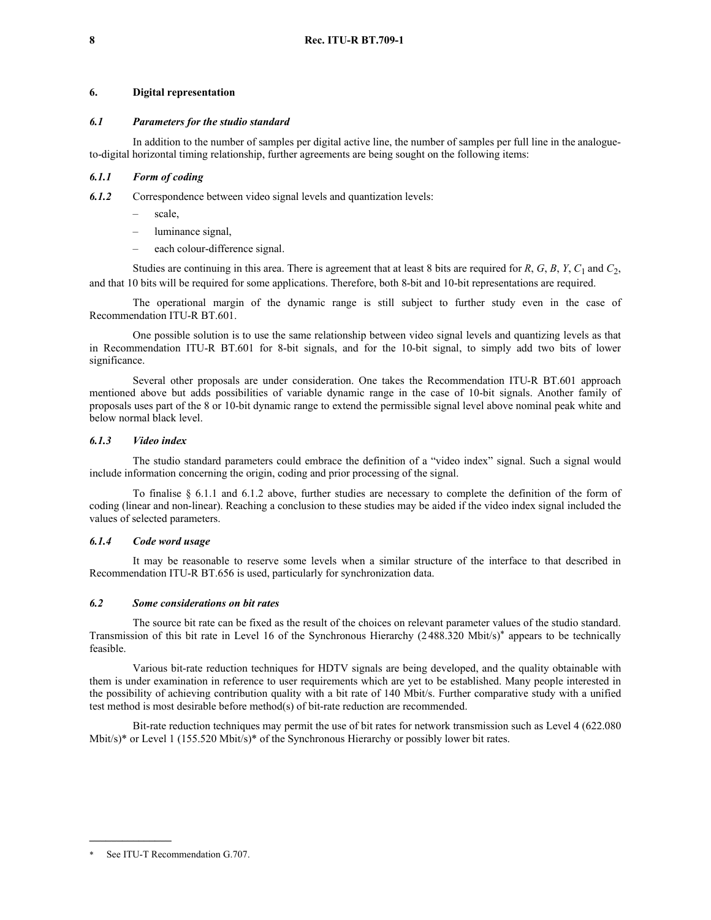## **6. Digital representation**

## *6.1 Parameters for the studio standard*

In addition to the number of samples per digital active line, the number of samples per full line in the analogueto-digital horizontal timing relationship, further agreements are being sought on the following items:

## *6.1.1 Form of coding*

*6.1.2* Correspondence between video signal levels and quantization levels:

- scale,
- luminance signal,
- each colour-difference signal.

Studies are continuing in this area. There is agreement that at least 8 bits are required for *R*, *G*, *B*, *Y*, *C*<sup>1</sup> and *C*2, and that 10 bits will be required for some applications. Therefore, both 8-bit and 10-bit representations are required.

The operational margin of the dynamic range is still subject to further study even in the case of Recommendation ITU-R BT.601.

One possible solution is to use the same relationship between video signal levels and quantizing levels as that in Recommendation ITU-R BT.601 for 8-bit signals, and for the 10-bit signal, to simply add two bits of lower significance.

Several other proposals are under consideration. One takes the Recommendation ITU-R BT.601 approach mentioned above but adds possibilities of variable dynamic range in the case of 10-bit signals. Another family of proposals uses part of the 8 or 10-bit dynamic range to extend the permissible signal level above nominal peak white and below normal black level.

## *6.1.3 Video index*

The studio standard parameters could embrace the definition of a "video index" signal. Such a signal would include information concerning the origin, coding and prior processing of the signal.

To finalise § 6.1.1 and 6.1.2 above, further studies are necessary to complete the definition of the form of coding (linear and non-linear). Reaching a conclusion to these studies may be aided if the video index signal included the values of selected parameters.

## *6.1.4 Code word usage*

It may be reasonable to reserve some levels when a similar structure of the interface to that described in Recommendation ITU-R BT.656 is used, particularly for synchronization data.

#### *6.2 Some considerations on bit rates*

The source bit rate can be fixed as the result of the choices on relevant parameter values of the studio standard. Transmission of this bit rate in Level 16 of the Synchronous Hierarchy (2 488.320 Mbit/s)\* appears to be technically feasible.

Various bit-rate reduction techniques for HDTV signals are being developed, and the quality obtainable with them is under examination in reference to user requirements which are yet to be established. Many people interested in the possibility of achieving contribution quality with a bit rate of 140 Mbit/s. Further comparative study with a unified test method is most desirable before method(s) of bit-rate reduction are recommended.

Bit-rate reduction techniques may permit the use of bit rates for network transmission such as Level 4 (622.080 Mbit/s)<sup>\*</sup> or Level 1 (155.520 Mbit/s)<sup>\*</sup> of the Synchronous Hierarchy or possibly lower bit rates.

**\_\_\_\_\_\_\_\_\_\_\_\_\_\_\_**

See ITU-T Recommendation G.707.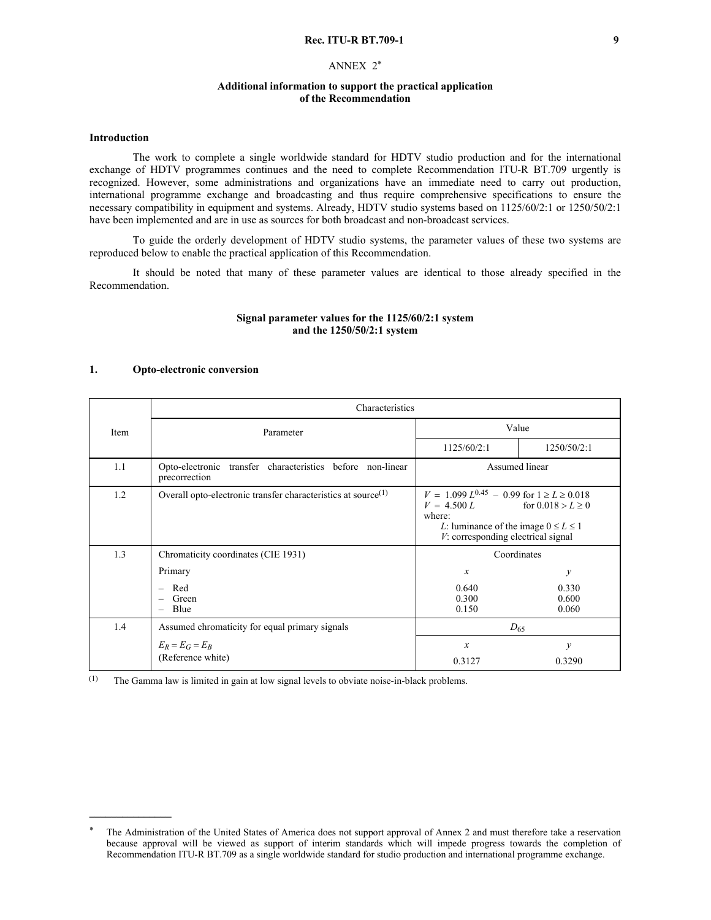### **Rec. ITU-R BT.709-1 9**

## ANNEX 2\*

## **Additional information to support the practical application of the Recommendation**

#### **Introduction**

The work to complete a single worldwide standard for HDTV studio production and for the international exchange of HDTV programmes continues and the need to complete Recommendation ITU-R BT.709 urgently is recognized. However, some administrations and organizations have an immediate need to carry out production, international programme exchange and broadcasting and thus require comprehensive specifications to ensure the necessary compatibility in equipment and systems. Already, HDTV studio systems based on 1125/60/2:1 or 1250/50/2:1 have been implemented and are in use as sources for both broadcast and non-broadcast services.

To guide the orderly development of HDTV studio systems, the parameter values of these two systems are reproduced below to enable the practical application of this Recommendation.

It should be noted that many of these parameter values are identical to those already specified in the Recommendation.

## **Signal parameter values for the 1125/60/2:1 system and the 1250/50/2:1 system**

### **1. Opto-electronic conversion**

|      | Characteristics                                                              |                                                                                                                                                                                            |                         |  |  |  |  |
|------|------------------------------------------------------------------------------|--------------------------------------------------------------------------------------------------------------------------------------------------------------------------------------------|-------------------------|--|--|--|--|
| Item | Parameter                                                                    |                                                                                                                                                                                            | Value                   |  |  |  |  |
|      |                                                                              | 1125/60/2:1                                                                                                                                                                                | 1250/50/2:1             |  |  |  |  |
| 1.1  | Opto-electronic transfer characteristics before non-linear<br>precorrection  | Assumed linear                                                                                                                                                                             |                         |  |  |  |  |
| 1.2  | Overall opto-electronic transfer characteristics at source $(1)$             | $V = 1.099 L^{0.45} - 0.99$ for $1 \ge L \ge 0.018$<br>$V = 4.500 L$ for $0.018 > L \ge 0$<br>where:<br>L: luminance of the image $0 \le L \le 1$<br>$V$ : corresponding electrical signal |                         |  |  |  |  |
| 1.3  | Chromaticity coordinates (CIE 1931)                                          | Coordinates                                                                                                                                                                                |                         |  |  |  |  |
|      | Primary                                                                      | $\boldsymbol{x}$                                                                                                                                                                           | $\mathcal{Y}$           |  |  |  |  |
|      | Red<br>$\overline{\phantom{0}}$<br>Green<br>Blue<br>$\overline{\phantom{0}}$ | 0.640<br>0.300<br>0.150                                                                                                                                                                    | 0.330<br>0.600<br>0.060 |  |  |  |  |
| 1.4  | Assumed chromaticity for equal primary signals                               | $D_{65}$                                                                                                                                                                                   |                         |  |  |  |  |
|      | $E_R = E_G = E_B$<br>(Reference white)                                       | $\boldsymbol{x}$<br>0.3127                                                                                                                                                                 | $\mathcal{V}$<br>0.3290 |  |  |  |  |

(1) The Gamma law is limited in gain at low signal levels to obviate noise-in-black problems.

The Administration of the United States of America does not support approval of Annex 2 and must therefore take a reservation because approval will be viewed as support of interim standards which will impede progress towards the completion of Recommendation ITU-R BT.709 as a single worldwide standard for studio production and international programme exchange.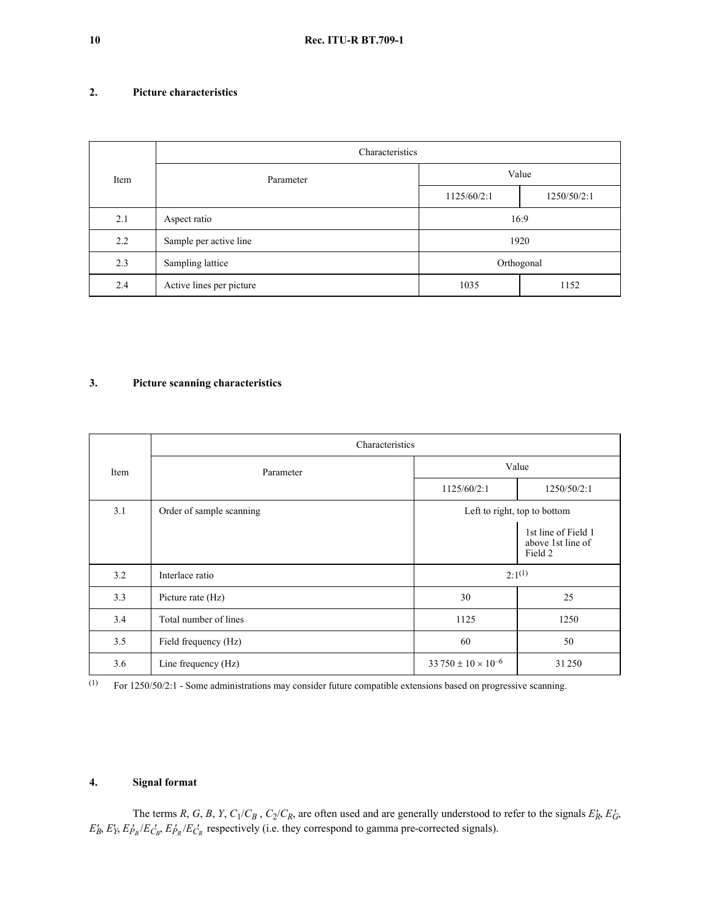# **2. Picture characteristics**

|      | Characteristics          |             |             |  |  |
|------|--------------------------|-------------|-------------|--|--|
| Item | Parameter                | Value       |             |  |  |
|      |                          | 1125/60/2:1 | 1250/50/2:1 |  |  |
| 2.1  | Aspect ratio             | 16:9        |             |  |  |
| 2.2  | Sample per active line   | 1920        |             |  |  |
| 2.3  | Sampling lattice         |             | Orthogonal  |  |  |
| 2.4  | Active lines per picture | 1035        | 1152        |  |  |

# **3. Picture scanning characteristics**

|      | Characteristics          |                               |                                                     |  |  |
|------|--------------------------|-------------------------------|-----------------------------------------------------|--|--|
| Item | Parameter                | Value                         |                                                     |  |  |
|      |                          | 1125/60/2:1                   | 1250/50/2:1                                         |  |  |
| 3.1  | Order of sample scanning | Left to right, top to bottom  |                                                     |  |  |
|      |                          |                               | 1st line of Field 1<br>above 1st line of<br>Field 2 |  |  |
| 3.2  | Interlace ratio          | $2:1^{(1)}$                   |                                                     |  |  |
| 3.3  | Picture rate (Hz)        | 30                            | 25                                                  |  |  |
| 3.4  | Total number of lines    | 1125                          | 1250                                                |  |  |
| 3.5  | Field frequency (Hz)     | 60                            | 50                                                  |  |  |
| 3.6  | Line frequency (Hz)      | $33750 \pm 10 \times 10^{-6}$ | 31250                                               |  |  |

(1) For 1250/50/2:1 - Some administrations may consider future compatible extensions based on progressive scanning.

# **4. Signal format**

The terms *R*, *G*, *B*, *Y*,  $C_1/C_B$ ,  $C_2/C_R$ , are often used and are generally understood to refer to the signals  $E'_R$ ,  $E'_G$ ,  $E_B$ ,  $E_Y$ ,  $E_{P_B}$ / $E_{C_B}$ ,  $E_{P_R}$ / $E_{C_R}$  respectively (i.e. they correspond to gamma pre-corrected signals).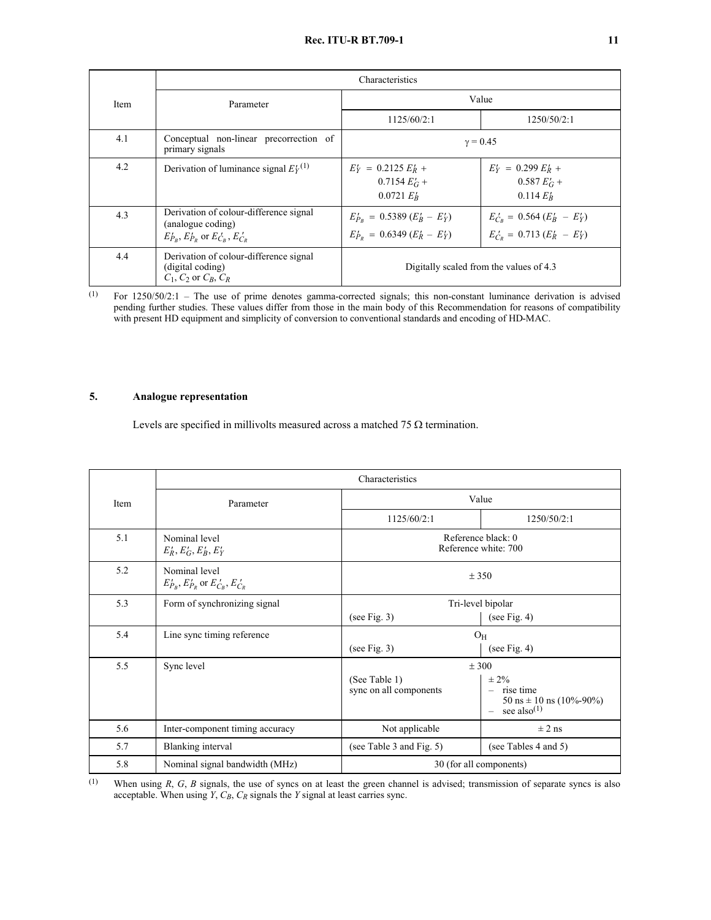# **Rec. ITU-R BT.709-1 11**

|      | Characteristics                                                                                             |                                                                        |                                                                      |  |  |
|------|-------------------------------------------------------------------------------------------------------------|------------------------------------------------------------------------|----------------------------------------------------------------------|--|--|
| Item | Parameter                                                                                                   | Value                                                                  |                                                                      |  |  |
|      |                                                                                                             | 1125/60/2:1                                                            | 1250/50/2:1                                                          |  |  |
| 4.1  | Conceptual non-linear precorrection of<br>primary signals                                                   | $\gamma = 0.45$                                                        |                                                                      |  |  |
| 4.2  | Derivation of luminance signal $E_Y^{(1)}$                                                                  | $E'_Y = 0.2125 E'_R +$<br>$0.7154 EG +$<br>$0.0721 E'_{B}$             | $E'_Y = 0.299 E'_R +$<br>$0.587 EG +$<br>$0.114 E_R'$                |  |  |
| 4.3  | Derivation of colour-difference signal<br>(analogue coding)<br>$E'_{P_B}, E'_{P_B}$ or $E'_{C_B}, E'_{C_B}$ | $E'_{P_B} = 0.5389 (E'_B - E'_Y)$<br>$E'_{P_R} = 0.6349 (E'_R - E'_Y)$ | $E'_{C_B} = 0.564 (E'_B - E'_Y)$<br>$E'_{C_P} = 0.713 (E'_R - E'_Y)$ |  |  |
| 4.4  | Derivation of colour-difference signal<br>(digital coding)<br>$C_1$ , $C_2$ or $C_R$ , $C_R$                | Digitally scaled from the values of 4.3                                |                                                                      |  |  |

(1) For 1250/50/2:1 – The use of prime denotes gamma-corrected signals; this non-constant luminance derivation is advised pending further studies. These values differ from those in the main body of this Recommendation for reasons of compatibility with present HD equipment and simplicity of conversion to conventional standards and encoding of HD-MAC.

# **5. Analogue representation**

Levels are specified in millivolts measured across a matched 75  $\Omega$  termination.

|      | Characteristics                                               |                                            |                                                                                      |
|------|---------------------------------------------------------------|--------------------------------------------|--------------------------------------------------------------------------------------|
| Item | Parameter                                                     | Value                                      |                                                                                      |
|      |                                                               | 1125/60/2:1                                | 1250/50/2:1                                                                          |
| 5.1  | Nominal level<br>$E'_R, E'_G, E'_R, E'_Y$                     | Reference black: 0<br>Reference white: 700 |                                                                                      |
| 5.2  | Nominal level<br>$E'_{P_R}, E'_{P_R}$ or $E'_{C_R}, E'_{C_R}$ | ± 350                                      |                                                                                      |
| 5.3  | Form of synchronizing signal                                  | Tri-level bipolar                          |                                                                                      |
|      |                                                               | (see Fig. $3$ )                            | (see Fig. 4)                                                                         |
| 5.4  | Line sync timing reference                                    | $\mathrm{O}_\mathrm{H}$                    |                                                                                      |
|      |                                                               | (see Fig. $3$ )                            | (see Fig. 4)                                                                         |
| 5.5  | Sync level                                                    | $+300$                                     |                                                                                      |
|      |                                                               | (See Table 1)                              | $\pm 2\%$                                                                            |
|      |                                                               | sync on all components                     | $-$ rise time<br>50 ns $\pm$ 10 ns (10%-90%)<br>see also <sup><math>(1)</math></sup> |
| 5.6  | Inter-component timing accuracy                               | Not applicable                             | $\pm 2$ ns                                                                           |
| 5.7  | Blanking interval                                             | (see Table 3 and Fig. 5)                   | (see Tables 4 and 5)                                                                 |
| 5.8  | Nominal signal bandwidth (MHz)                                | 30 (for all components)                    |                                                                                      |

(1) When using *R*, *G*, *B* signals, the use of syncs on at least the green channel is advised; transmission of separate syncs is also acceptable. When using  $Y$ ,  $C_B$ ,  $C_R$  signals the  $Y$  signal at least carries sync.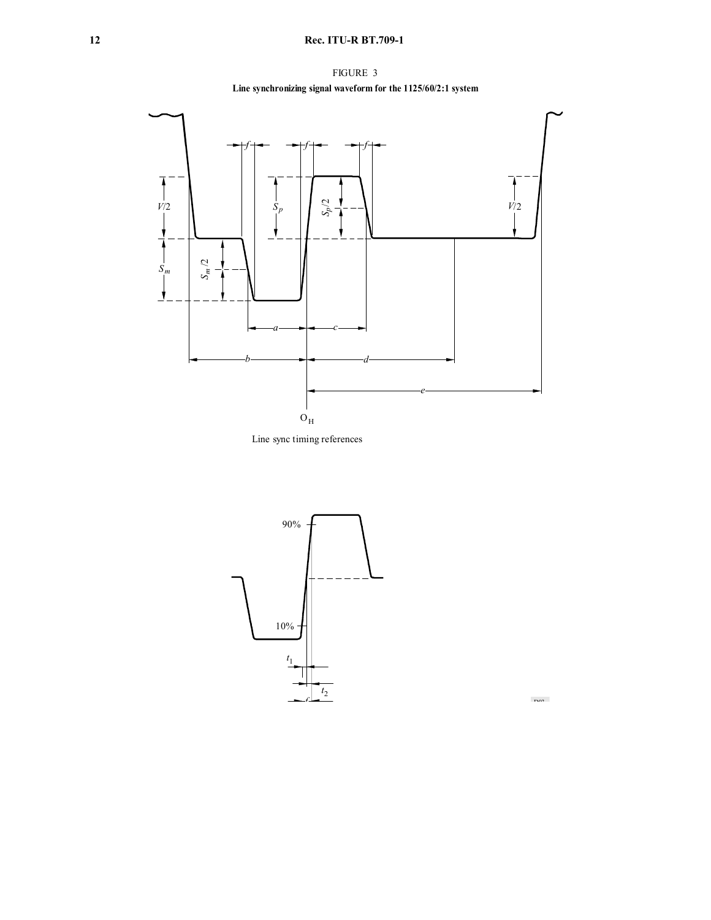# **12 Rec. ITU-R BT.709-1**









 $D(3)$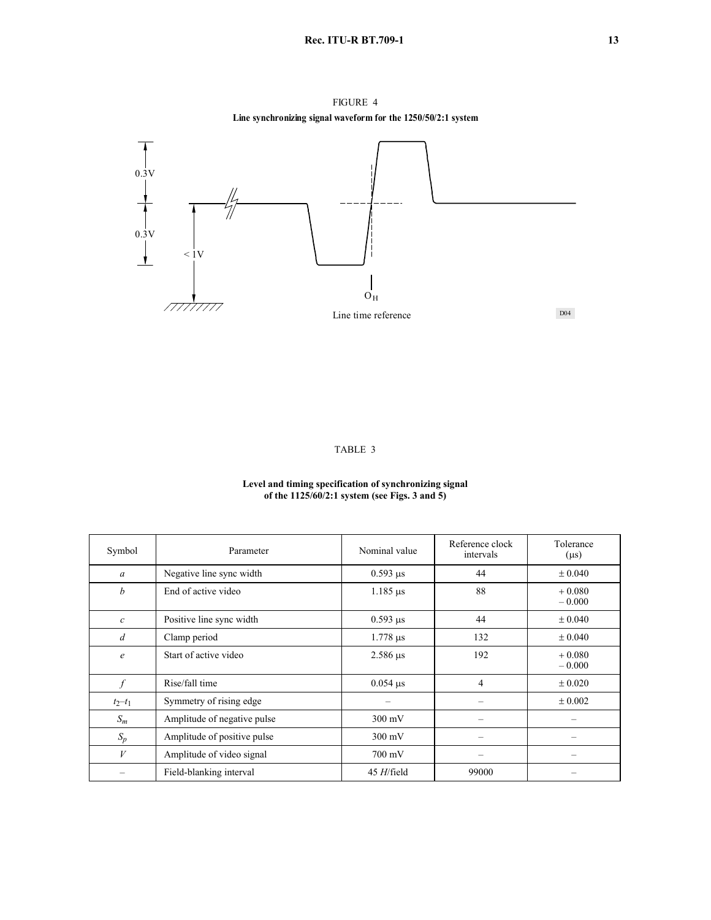FIGURE 4 **Line synchronizing signal waveform for the 1250/50/2:1 system**



# TABLE 3

#### **Level and timing specification of synchronizing signal of the 1125/60/2:1 system (see Figs. 3 and 5)**

| Symbol           | Parameter                   | Nominal value    | Reference clock<br>intervals | Tolerance<br>$(\mu s)$ |
|------------------|-----------------------------|------------------|------------------------------|------------------------|
| $\mathfrak a$    | Negative line sync width    | $0.593 \,\mu s$  | 44                           | ± 0.040                |
| b                | End of active video         | $1.185 \,\mu s$  | 88                           | $+0.080$<br>$-0.000$   |
| $\boldsymbol{c}$ | Positive line sync width    | $0.593 \,\mu s$  | 44                           | $\pm 0.040$            |
| $\overline{d}$   | Clamp period                | $1.778 \,\mu s$  | 132                          | $\pm 0.040$            |
| $\epsilon$       | Start of active video       | $2.586 \,\mu s$  | 192                          | $+0.080$<br>$-0.000$   |
| $\int$           | Rise/fall time              | $0.054 \,\mu s$  | 4                            | ± 0.020                |
| $t_2 - t_1$      | Symmetry of rising edge     |                  |                              | $\pm 0.002$            |
| $S_m$            | Amplitude of negative pulse | $300 \text{ mV}$ |                              |                        |
| $S_p$            | Amplitude of positive pulse | $300 \text{ mV}$ |                              |                        |
| V                | Amplitude of video signal   | $700 \text{ mV}$ |                              |                        |
|                  | Field-blanking interval     | $45$ H/field     | 99000                        |                        |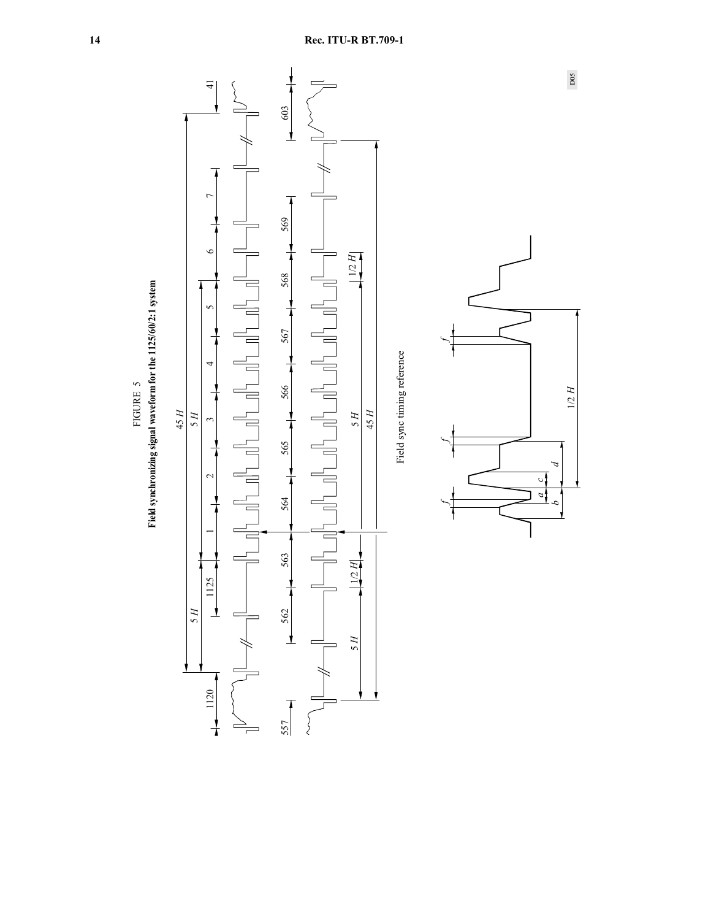

 $\Box$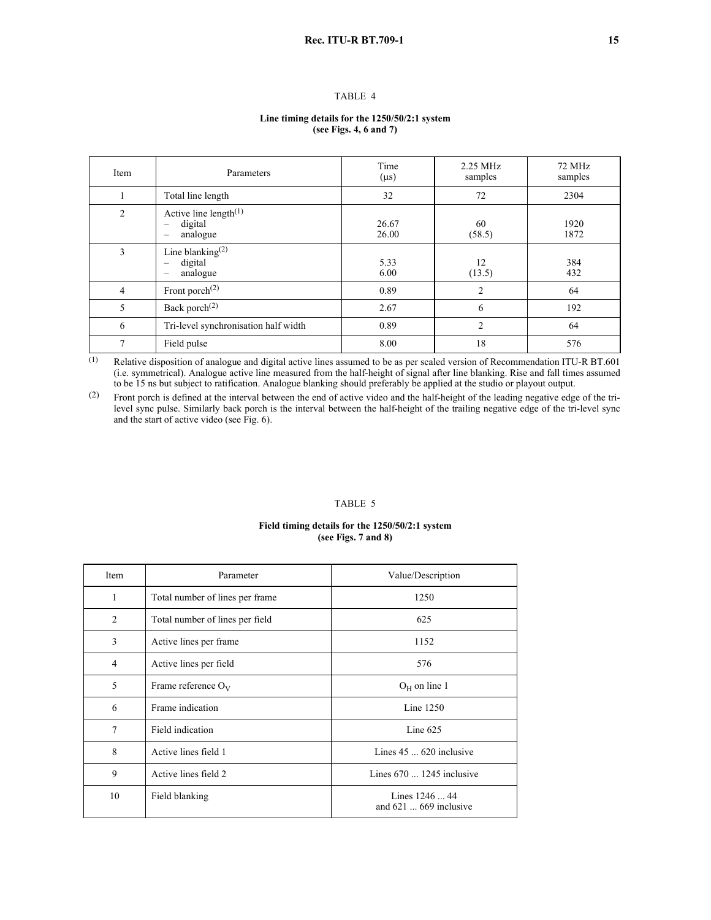## TABLE 4

#### **Line timing details for the 1250/50/2:1 system (see Figs. 4, 6 and 7)**

| Item           | Parameters                                      | Time<br>$(\mu s)$ | 2.25 MHz<br>samples | 72 MHz<br>samples |
|----------------|-------------------------------------------------|-------------------|---------------------|-------------------|
|                | Total line length                               | 32                | 72                  | 2304              |
| $\overline{2}$ | Active line length $(1)$<br>digital<br>analogue | 26.67<br>26.00    | 60<br>(58.5)        | 1920<br>1872      |
| 3              | Line blanking $(2)$<br>digital<br>analogue      | 5.33<br>6.00      | 12<br>(13.5)        | 384<br>432        |
| $\overline{4}$ | Front porch $^{(2)}$                            | 0.89              | 2                   | 64                |
| 5              | Back porch <sup>(2)</sup>                       | 2.67              | 6                   | 192               |
| 6              | Tri-level synchronisation half width            | 0.89              | $\overline{2}$      | 64                |
| $\overline{7}$ | Field pulse                                     | 8.00              | 18                  | 576               |

(1) Relative disposition of analogue and digital active lines assumed to be as per scaled version of Recommendation ITU-R BT.601 (i.e. symmetrical). Analogue active line measured from the half-height of signal after line blanking. Rise and fall times assumed to be 15 ns but subject to ratification. Analogue blanking should preferably be applied at the studio or playout output.

(2) Front porch is defined at the interval between the end of active video and the half-height of the leading negative edge of the trilevel sync pulse. Similarly back porch is the interval between the half-height of the trailing negative edge of the tri-level sync and the start of active video (see Fig. 6).

#### TABLE 5

## **Field timing details for the 1250/50/2:1 system (see Figs. 7 and 8)**

| Item           | Parameter                       | Value/Description                               |
|----------------|---------------------------------|-------------------------------------------------|
| 1              | Total number of lines per frame | 1250                                            |
| 2              | Total number of lines per field | 625                                             |
| 3              | Active lines per frame          | 1152                                            |
| $\overline{4}$ | Active lines per field          | 576                                             |
| 5              | Frame reference $O_V$           | $O_H$ on line 1                                 |
| 6              | Frame indication                | Line $1250$                                     |
| $\tau$         | Field indication                | Line $625$                                      |
| 8              | Active lines field 1            | Lines $45 \dots 620$ inclusive                  |
| 9              | Active lines field 2            | Lines $670$ 1245 inclusive                      |
| 10             | Field blanking                  | Lines 1246  44<br>and $621 \dots 669$ inclusive |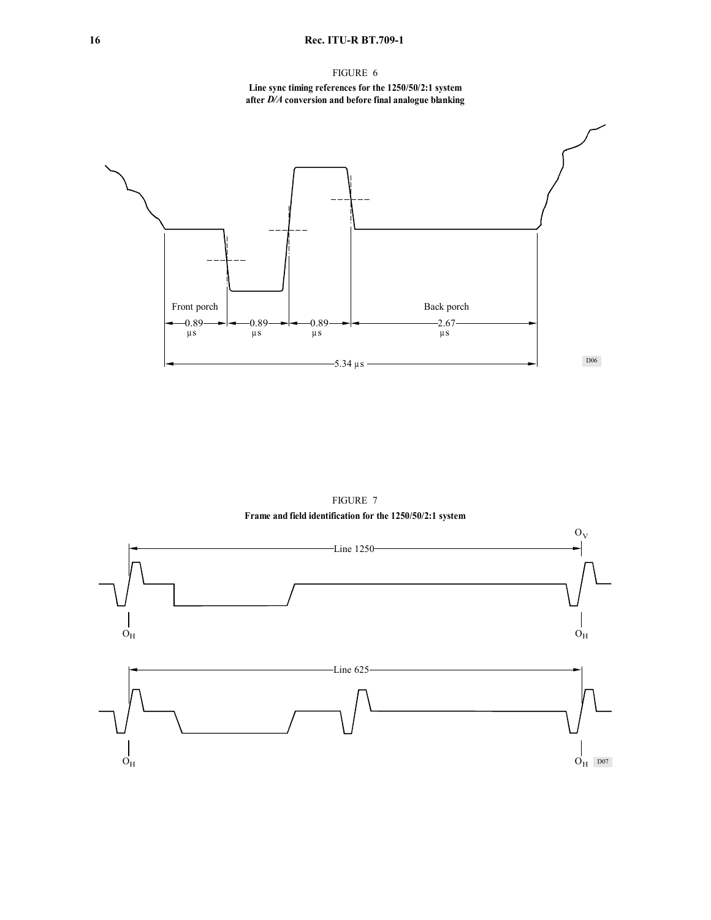# **16 Rec. ITU-R BT.709-1**

# FIGURE 6

## **Line sync timing references for the 1250/50/2:1 system after** *D/A* **conversion and before final analogue blanking**



FIGURE 7 **Frame and field identification for the 1250/50/2:1 system**

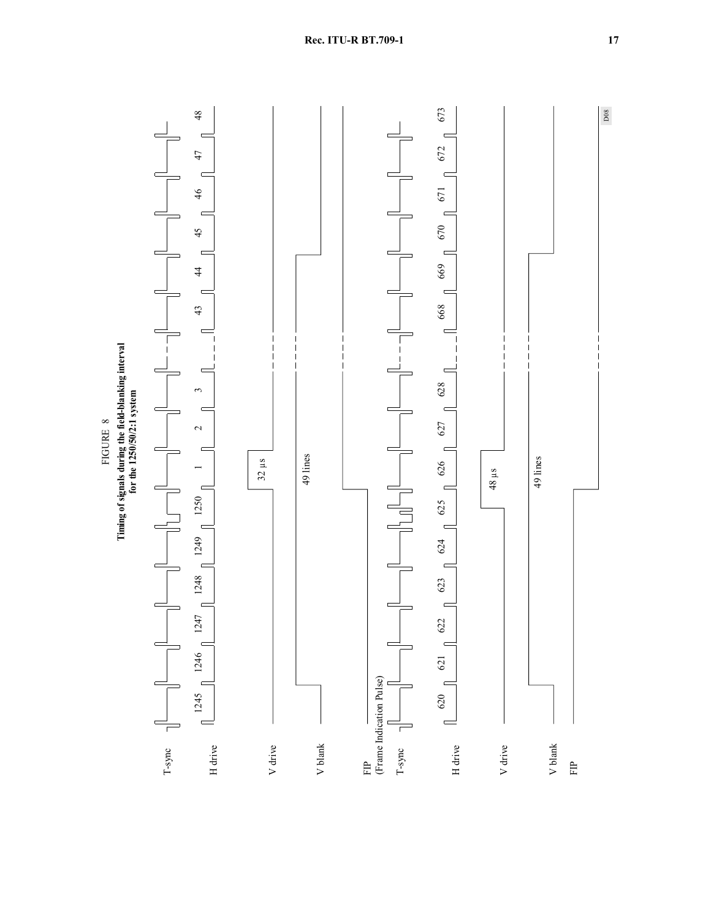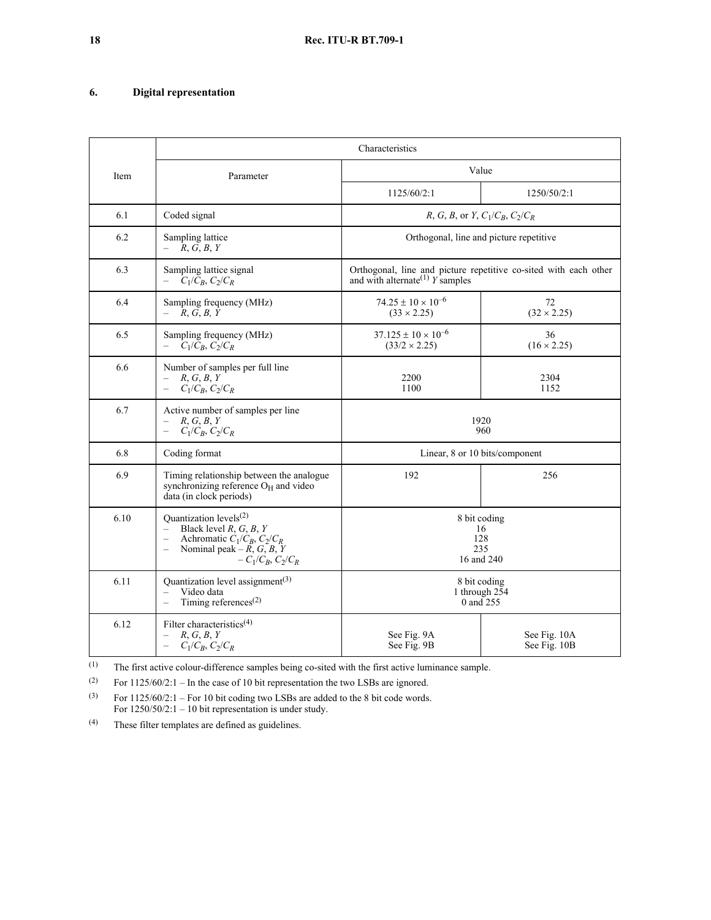# **6. Digital representation**

|      |                                                                                                                                                                                                  | Characteristics                                                                                                   |                              |
|------|--------------------------------------------------------------------------------------------------------------------------------------------------------------------------------------------------|-------------------------------------------------------------------------------------------------------------------|------------------------------|
| Item | Parameter                                                                                                                                                                                        | Value                                                                                                             |                              |
|      |                                                                                                                                                                                                  | 1125/60/2:1                                                                                                       | 1250/50/2:1                  |
| 6.1  | Coded signal                                                                                                                                                                                     | <i>R</i> , <i>G</i> , <i>B</i> , or <i>Y</i> , $C_1/C_B$ , $C_2/C_R$                                              |                              |
| 6.2  | Sampling lattice<br>R, G, B, Y<br>$\overline{\phantom{0}}$                                                                                                                                       | Orthogonal, line and picture repetitive                                                                           |                              |
| 6.3  | Sampling lattice signal<br>$C_1/\bar{C}_B$ , $C_2/C_R$                                                                                                                                           | Orthogonal, line and picture repetitive co-sited with each other<br>and with alternate <sup>(1)</sup> $Y$ samples |                              |
| 6.4  | Sampling frequency (MHz)<br>R, G, B, Y<br>$\overline{\phantom{0}}$                                                                                                                               | $74.25 \pm 10 \times 10^{-6}$<br>$(33 \times 2.25)$                                                               | 72<br>$(32 \times 2.25)$     |
| 6.5  | Sampling frequency (MHz)<br>$C_1/C_B$ , $C_2/C_R$                                                                                                                                                | $37.125 \pm 10 \times 10^{-6}$<br>$(33/2 \times 2.25)$                                                            | 36<br>$(16 \times 2.25)$     |
| 6.6  | Number of samples per full line<br>R, G, B, Y<br>$C_1/C_B$ , $C_2/C_R$<br>$\qquad \qquad -$                                                                                                      | 2200<br>1100                                                                                                      | 2304<br>1152                 |
| 6.7  | Active number of samples per line<br>R, G, B, Y<br>$\qquad \qquad -$<br>$C_1/C_B$ , $C_2/C_R$                                                                                                    | 1920<br>960                                                                                                       |                              |
| 6.8  | Coding format                                                                                                                                                                                    | Linear, 8 or 10 bits/component                                                                                    |                              |
| 6.9  | Timing relationship between the analogue<br>synchronizing reference O <sub>H</sub> and video<br>data (in clock periods)                                                                          | 192                                                                                                               | 256                          |
| 6.10 | Quantization levels <sup>(2)</sup><br>Black level $R, G, B, Y$<br>$\equiv$<br>Achromatic $C_1/C_B$ , $C_2/C_R$<br>$\overline{\phantom{0}}$<br>Nominal peak – $R, G, B, Y$<br>$-C_1/C_B, C_2/C_R$ | 8 bit coding<br>16<br>128<br>235<br>16 and 240                                                                    |                              |
| 6.11 | Quantization level assignment <sup>(3)</sup><br>Video data<br>$\equiv$<br>Timing references $^{(2)}$<br>$\overline{\phantom{0}}$                                                                 | 8 bit coding<br>1 through 254<br>0 and 255                                                                        |                              |
| 6.12 | Filter characteristics <sup>(4)</sup><br>R, G, B, Y<br>$-$<br>$C_1/C_B$ , $C_2/C_R$<br>$\equiv$                                                                                                  | See Fig. 9A<br>See Fig. 9B                                                                                        | See Fig. 10A<br>See Fig. 10B |

(1) The first active colour-difference samples being co-sited with the first active luminance sample.

(2) For  $1125/60/2:1$  – In the case of 10 bit representation the two LSBs are ignored.

(3) For  $1125/60/2:1$  – For 10 bit coding two LSBs are added to the 8 bit code words. For  $1250/50/2:1 - 10$  bit representation is under study.

(4) These filter templates are defined as guidelines.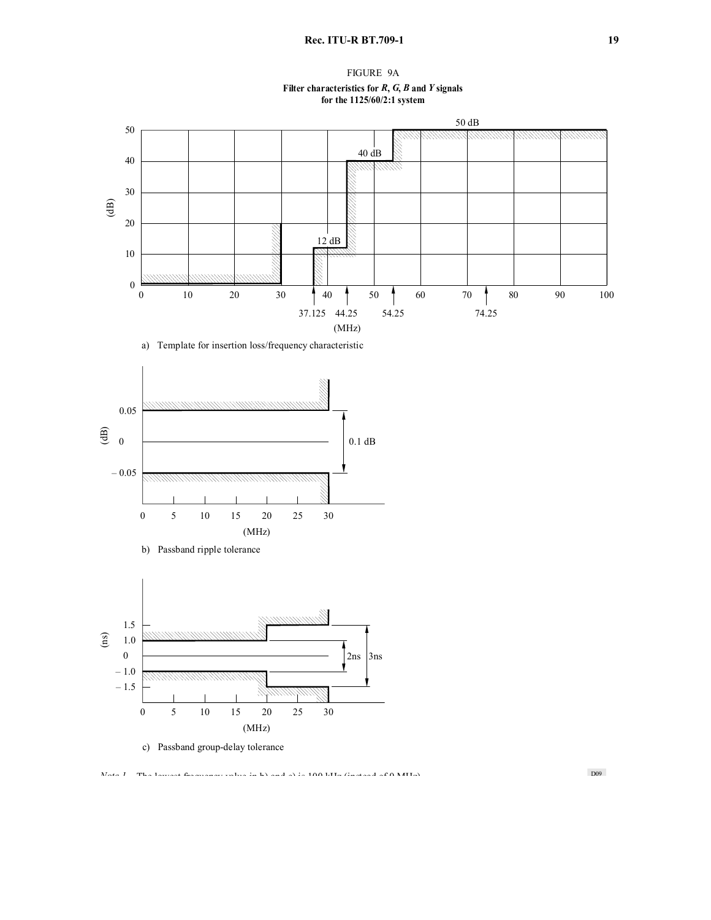FIGURE 9A **Filter characteristics for** *R***,** *G***,** *B* **and** *Y* **signals for the 1125/60/2:1 system**



a) Template for insertion loss/frequency characteristic





c) Passband group-delay tolerance

D09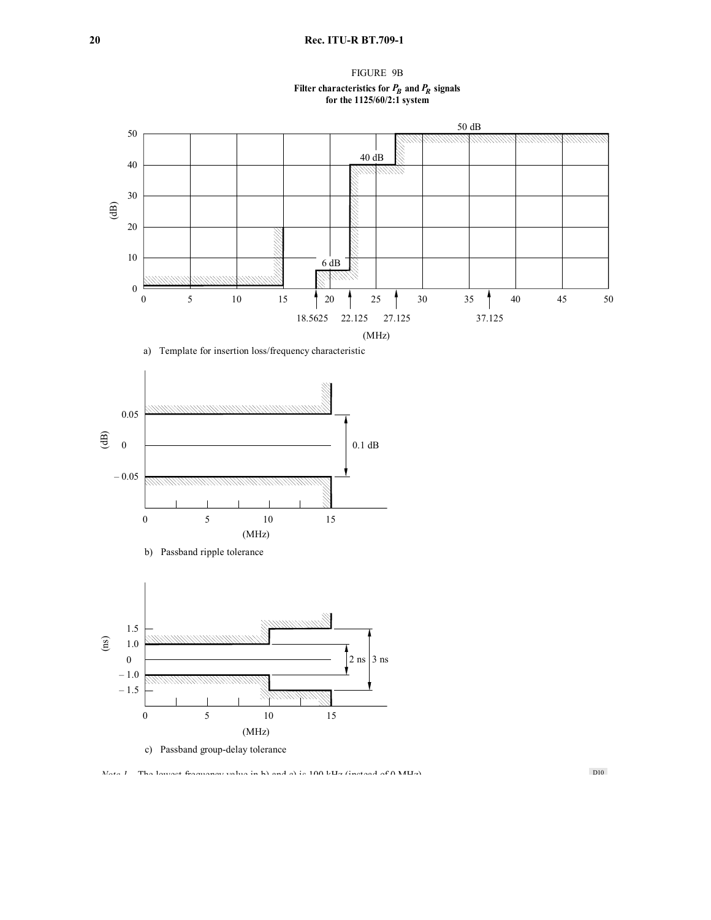# **20 Rec. ITU-R BT.709-1**

# FIGURE 9B Filter characteristics for  $P_B$  and  $P_R$  signals **for the 1125/60/2:1 system**



a) Template for insertion loss/frequency characteristic



– 1.5 *MMMMM* 0 5 10 15 (MHz)

c) Passband group-delay tolerance

*Note 1* – The lowest frequency value in b) and c) is 100 kHz (instead of 0 MHz).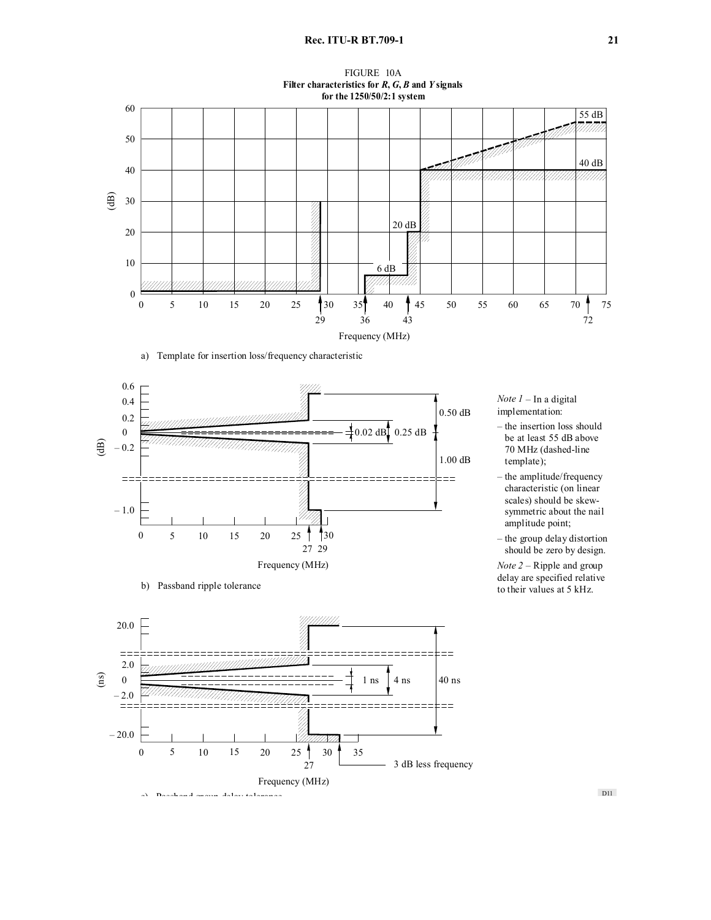

a) Template for insertion loss/frequency characteristic



b) Passband ripple tolerance



*Note 1* – In a digital implementation:

- the insertion loss should be at least 55 dB above 70 MHz (dashed-line template);
- the amplitude/frequency – characteristic (on linear scales) should be skewsymmetric about the nail amplitude point;
- the group delay distortion should be zero by design.

*Note 2* – Ripple and group delay are specified relative to their values at 5 kHz.